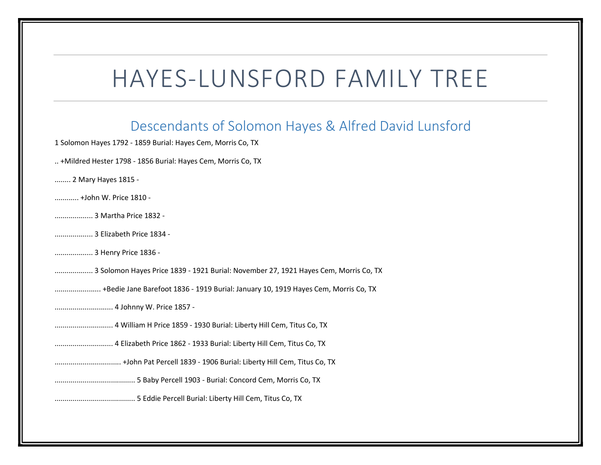## HAYES-LUNSFORD FAMILY TREE

## Descendants of Solomon Hayes & Alfred David Lunsford

1 Solomon Hayes 1792 - 1859 Burial: Hayes Cem, Morris Co, TX

- .. +Mildred Hester 1798 1856 Burial: Hayes Cem, Morris Co, TX
- ........ 2 Mary Hayes 1815 -
- ............ +John W. Price 1810 -
- ................... 3 Martha Price 1832 -
- ................... 3 Elizabeth Price 1834 -
- ................... 3 Henry Price 1836 -
- ................... 3 Solomon Hayes Price 1839 1921 Burial: November 27, 1921 Hayes Cem, Morris Co, TX
- ....................... +Bedie Jane Barefoot 1836 1919 Burial: January 10, 1919 Hayes Cem, Morris Co, TX
- ............................. 4 Johnny W. Price 1857 -
- ............................. 4 William H Price 1859 1930 Burial: Liberty Hill Cem, Titus Co, TX
- ............................. 4 Elizabeth Price 1862 1933 Burial: Liberty Hill Cem, Titus Co, TX
- ................................. +John Pat Percell 1839 1906 Burial: Liberty Hill Cem, Titus Co, TX
- ........................................ 5 Baby Percell 1903 Burial: Concord Cem, Morris Co, TX
- ........................................ 5 Eddie Percell Burial: Liberty Hill Cem, Titus Co, TX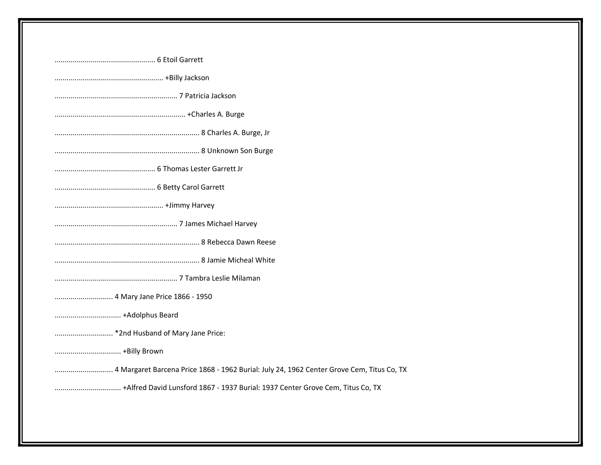| 4 Mary Jane Price 1866 - 1950                                                  |
|--------------------------------------------------------------------------------|
|                                                                                |
|                                                                                |
|                                                                                |
|                                                                                |
| +Alfred David Lunsford 1867 - 1937 Burial: 1937 Center Grove Cem, Titus Co, TX |
|                                                                                |
|                                                                                |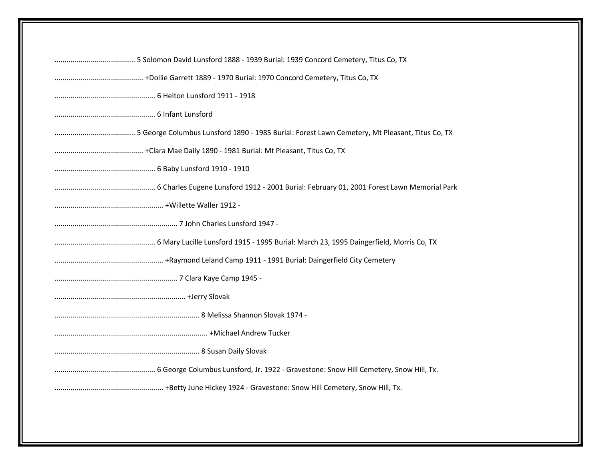| Eaymond Leland Camp 1911 - 1991 Burial: Daingerfield City Cemetery - + Raymond Leland Camp 1911 - 1991 Burial: Daingerfield City Cemetery |
|-------------------------------------------------------------------------------------------------------------------------------------------|
|                                                                                                                                           |
|                                                                                                                                           |
|                                                                                                                                           |
|                                                                                                                                           |
|                                                                                                                                           |
|                                                                                                                                           |
|                                                                                                                                           |
|                                                                                                                                           |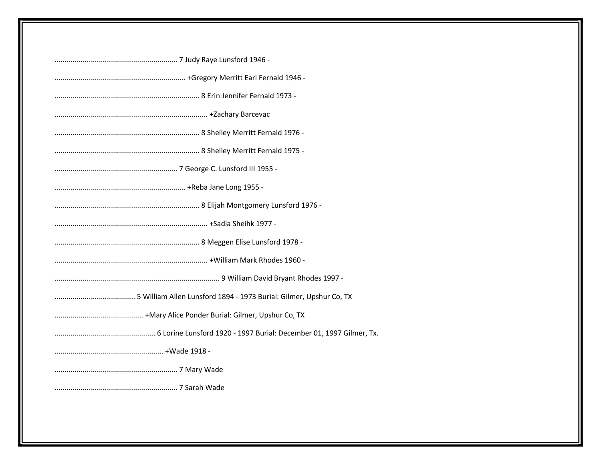| 5 William Allen Lunsford 1894 - 1973 Burial: Gilmer, Upshur Co, TX |
|--------------------------------------------------------------------|
|                                                                    |
|                                                                    |
|                                                                    |
|                                                                    |
|                                                                    |
|                                                                    |